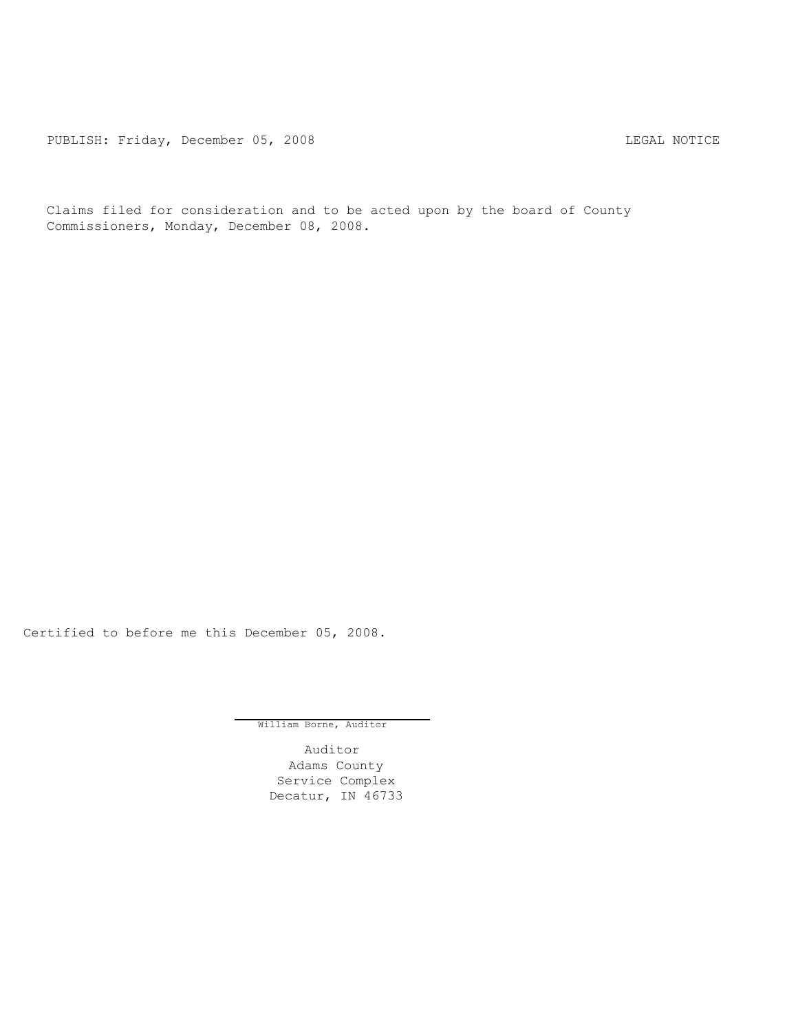PUBLISH: Friday, December 05, 2008 LEGAL NOTICE

Claims filed for consideration and to be acted upon by the board of County Commissioners, Monday, December 08, 2008.

Certified to before me this December 05, 2008.

William Borne, Auditor

Auditor Adams County Service Complex Decatur, IN 46733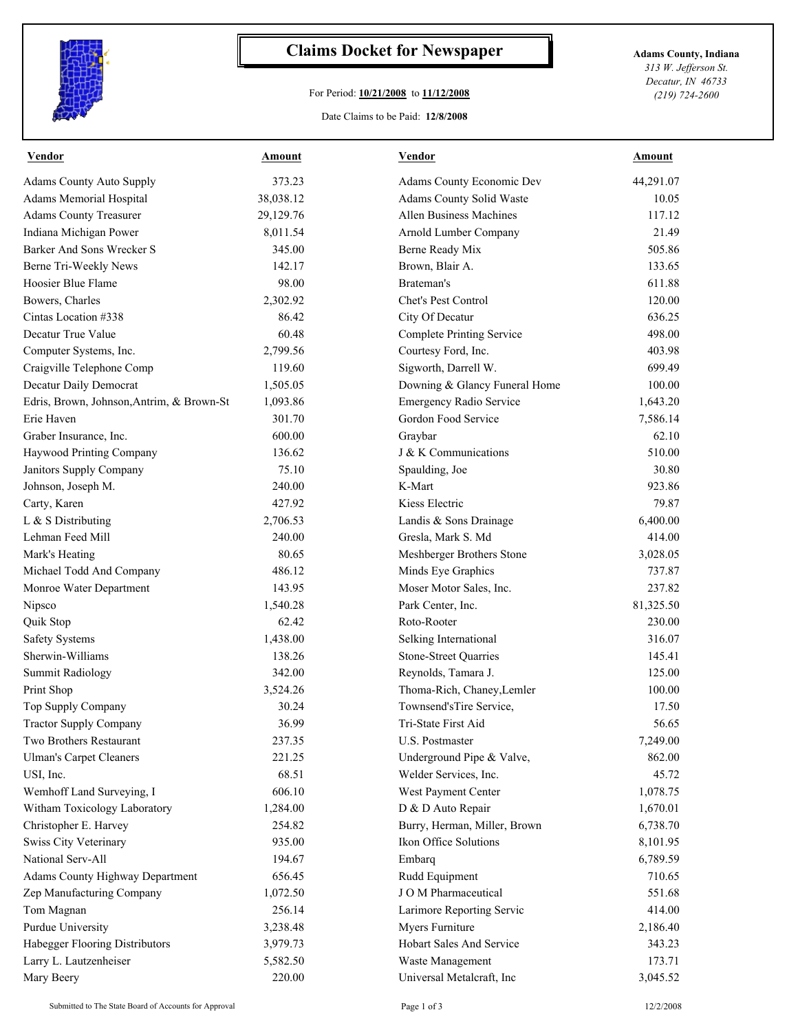

## **Claims Docket for Newspaper Adams County, Indiana**

## For Period: **10/21/2008** to **11/12/2008**

*313 W. Jefferson St. Decatur, IN 46733 (219) 724-2600*

## Date Claims to be Paid: **12/8/2008**

| <b>Vendor</b>                             | <u>Amount</u> | <u>Vendor</u>                    | <b>Amount</b> |
|-------------------------------------------|---------------|----------------------------------|---------------|
| <b>Adams County Auto Supply</b>           | 373.23        | Adams County Economic Dev        | 44,291.07     |
| Adams Memorial Hospital                   | 38,038.12     | Adams County Solid Waste         | 10.05         |
| <b>Adams County Treasurer</b>             | 29,129.76     | Allen Business Machines          | 117.12        |
| Indiana Michigan Power                    | 8,011.54      | Arnold Lumber Company            | 21.49         |
| Barker And Sons Wrecker S                 | 345.00        | Berne Ready Mix                  | 505.86        |
| Berne Tri-Weekly News                     | 142.17        | Brown, Blair A.                  | 133.65        |
| Hoosier Blue Flame                        | 98.00         | Brateman's                       | 611.88        |
| Bowers, Charles                           | 2,302.92      | Chet's Pest Control              | 120.00        |
| Cintas Location #338                      | 86.42         | City Of Decatur                  | 636.25        |
| Decatur True Value                        | 60.48         | <b>Complete Printing Service</b> | 498.00        |
| Computer Systems, Inc.                    | 2,799.56      | Courtesy Ford, Inc.              | 403.98        |
| Craigville Telephone Comp                 | 119.60        | Sigworth, Darrell W.             | 699.49        |
| Decatur Daily Democrat                    | 1,505.05      | Downing & Glancy Funeral Home    | 100.00        |
| Edris, Brown, Johnson, Antrim, & Brown-St | 1,093.86      | <b>Emergency Radio Service</b>   | 1,643.20      |
| Erie Haven                                | 301.70        | Gordon Food Service              | 7,586.14      |
| Graber Insurance, Inc.                    | 600.00        | Graybar                          | 62.10         |
| Haywood Printing Company                  | 136.62        | J & K Communications             | 510.00        |
| Janitors Supply Company                   | 75.10         | Spaulding, Joe                   | 30.80         |
| Johnson, Joseph M.                        | 240.00        | K-Mart                           | 923.86        |
| Carty, Karen                              | 427.92        | Kiess Electric                   | 79.87         |
| L & S Distributing                        | 2,706.53      | Landis & Sons Drainage           | 6,400.00      |
| Lehman Feed Mill                          | 240.00        | Gresla, Mark S. Md               | 414.00        |
| Mark's Heating                            | 80.65         | Meshberger Brothers Stone        | 3,028.05      |
| Michael Todd And Company                  | 486.12        | Minds Eye Graphics               | 737.87        |
| Monroe Water Department                   | 143.95        | Moser Motor Sales, Inc.          | 237.82        |
| Nipsco                                    | 1,540.28      | Park Center, Inc.                | 81,325.50     |
| Quik Stop                                 | 62.42         | Roto-Rooter                      | 230.00        |
| <b>Safety Systems</b>                     | 1,438.00      | Selking International            | 316.07        |
| Sherwin-Williams                          | 138.26        | Stone-Street Quarries            | 145.41        |
| <b>Summit Radiology</b>                   | 342.00        | Reynolds, Tamara J.              | 125.00        |
| Print Shop                                | 3,524.26      | Thoma-Rich, Chaney, Lemler       | 100.00        |
| Top Supply Company                        | 30.24         | Townsend'sTire Service,          | 17.50         |
| <b>Tractor Supply Company</b>             | 36.99         | Tri-State First Aid              | 56.65         |
| Two Brothers Restaurant                   | 237.35        | U.S. Postmaster                  | 7,249.00      |
| <b>Ulman's Carpet Cleaners</b>            | 221.25        | Underground Pipe & Valve,        | 862.00        |
| USI, Inc.                                 | 68.51         | Welder Services, Inc.            | 45.72         |
| Wemhoff Land Surveying, I                 | 606.10        | West Payment Center              | 1,078.75      |
| Witham Toxicology Laboratory              | 1,284.00      | D & D Auto Repair                | 1,670.01      |
| Christopher E. Harvey                     | 254.82        | Burry, Herman, Miller, Brown     | 6,738.70      |
| Swiss City Veterinary                     | 935.00        | Ikon Office Solutions            | 8,101.95      |
| National Serv-All                         | 194.67        | Embarq                           | 6,789.59      |
| Adams County Highway Department           | 656.45        | Rudd Equipment                   | 710.65        |
| Zep Manufacturing Company                 | 1,072.50      | JOM Pharmaceutical               | 551.68        |
| Tom Magnan                                | 256.14        | Larimore Reporting Servic        | 414.00        |
| Purdue University                         | 3,238.48      | Myers Furniture                  | 2,186.40      |
| Habegger Flooring Distributors            | 3,979.73      | Hobart Sales And Service         | 343.23        |
| Larry L. Lautzenheiser                    | 5,582.50      | Waste Management                 | 173.71        |
| Mary Beery                                | 220.00        | Universal Metalcraft, Inc        | 3,045.52      |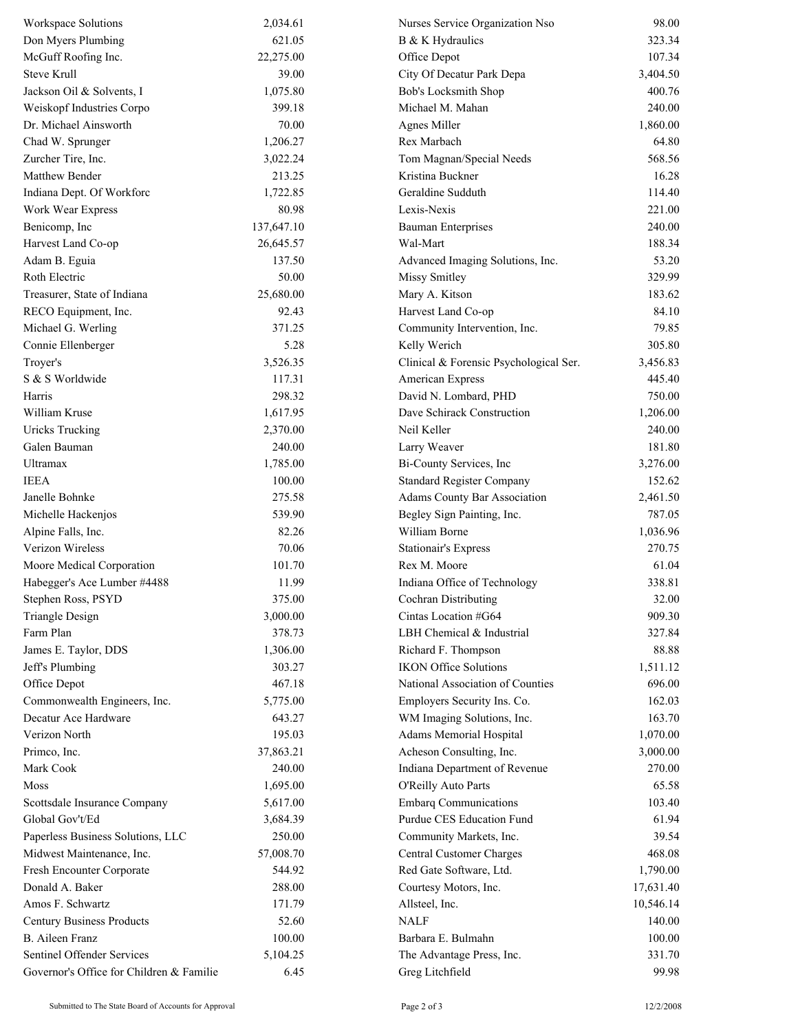| Workspace Solutions                      | 2,034.61   | Nurses Service Organization Nso        | 98.00     |
|------------------------------------------|------------|----------------------------------------|-----------|
| Don Myers Plumbing                       | 621.05     | B & K Hydraulics                       | 323.34    |
| McGuff Roofing Inc.                      | 22,275.00  | Office Depot                           | 107.34    |
| Steve Krull                              | 39.00      | City Of Decatur Park Depa              | 3,404.50  |
| Jackson Oil & Solvents, I                | 1,075.80   | Bob's Locksmith Shop                   | 400.76    |
| Weiskopf Industries Corpo                | 399.18     | Michael M. Mahan                       | 240.00    |
| Dr. Michael Ainsworth                    | 70.00      | Agnes Miller                           | 1,860.00  |
| Chad W. Sprunger                         | 1,206.27   | Rex Marbach                            | 64.80     |
| Zurcher Tire, Inc.                       | 3,022.24   | Tom Magnan/Special Needs               | 568.56    |
| Matthew Bender                           | 213.25     | Kristina Buckner                       | 16.28     |
| Indiana Dept. Of Workforc                | 1,722.85   | Geraldine Sudduth                      | 114.40    |
| Work Wear Express                        | 80.98      | Lexis-Nexis                            | 221.00    |
| Benicomp, Inc                            | 137,647.10 | <b>Bauman Enterprises</b>              | 240.00    |
| Harvest Land Co-op                       | 26,645.57  | Wal-Mart                               | 188.34    |
| Adam B. Eguia                            | 137.50     | Advanced Imaging Solutions, Inc.       | 53.20     |
| Roth Electric                            | 50.00      | Missy Smitley                          | 329.99    |
| Treasurer, State of Indiana              | 25,680.00  | Mary A. Kitson                         | 183.62    |
| RECO Equipment, Inc.                     | 92.43      | Harvest Land Co-op                     | 84.10     |
| Michael G. Werling                       | 371.25     | Community Intervention, Inc.           | 79.85     |
| Connie Ellenberger                       | 5.28       | Kelly Werich                           | 305.80    |
| Troyer's                                 | 3,526.35   | Clinical & Forensic Psychological Ser. | 3,456.83  |
| S & S Worldwide                          | 117.31     | American Express                       | 445.40    |
| Harris                                   | 298.32     | David N. Lombard, PHD                  | 750.00    |
| William Kruse                            | 1,617.95   | Dave Schirack Construction             | 1,206.00  |
| <b>Uricks Trucking</b>                   | 2,370.00   | Neil Keller                            | 240.00    |
| Galen Bauman                             | 240.00     | Larry Weaver                           | 181.80    |
| <b>Ultramax</b>                          | 1,785.00   | Bi-County Services, Inc                | 3,276.00  |
| <b>IEEA</b>                              | 100.00     | <b>Standard Register Company</b>       | 152.62    |
| Janelle Bohnke                           | 275.58     | <b>Adams County Bar Association</b>    | 2,461.50  |
| Michelle Hackenjos                       | 539.90     | Begley Sign Painting, Inc.             | 787.05    |
| Alpine Falls, Inc.                       | 82.26      | William Borne                          | 1,036.96  |
| Verizon Wireless                         | 70.06      | <b>Stationair's Express</b>            | 270.75    |
| Moore Medical Corporation                | 101.70     | Rex M. Moore                           | 61.04     |
| Habegger's Ace Lumber #4488              | 11.99      | Indiana Office of Technology           | 338.81    |
| Stephen Ross, PSYD                       | 375.00     | Cochran Distributing                   | 32.00     |
| <b>Triangle Design</b>                   | 3,000.00   | Cintas Location #G64                   | 909.30    |
| Farm Plan                                | 378.73     | LBH Chemical & Industrial              | 327.84    |
| James E. Taylor, DDS                     | 1,306.00   | Richard F. Thompson                    | 88.88     |
| Jeff's Plumbing                          | 303.27     | <b>IKON Office Solutions</b>           | 1,511.12  |
| Office Depot                             | 467.18     | National Association of Counties       | 696.00    |
| Commonwealth Engineers, Inc.             | 5,775.00   | Employers Security Ins. Co.            | 162.03    |
| Decatur Ace Hardware                     | 643.27     | WM Imaging Solutions, Inc.             | 163.70    |
| Verizon North                            | 195.03     | Adams Memorial Hospital                | 1,070.00  |
| Primco, Inc.                             | 37,863.21  | Acheson Consulting, Inc.               | 3,000.00  |
| Mark Cook                                | 240.00     | Indiana Department of Revenue          | 270.00    |
| Moss                                     | 1,695.00   | O'Reilly Auto Parts                    | 65.58     |
| Scottsdale Insurance Company             | 5,617.00   | <b>Embarq Communications</b>           | 103.40    |
| Global Gov't/Ed                          | 3,684.39   | Purdue CES Education Fund              | 61.94     |
| Paperless Business Solutions, LLC        | 250.00     | Community Markets, Inc.                | 39.54     |
| Midwest Maintenance, Inc.                | 57,008.70  | Central Customer Charges               | 468.08    |
| Fresh Encounter Corporate                | 544.92     | Red Gate Software, Ltd.                | 1,790.00  |
| Donald A. Baker                          | 288.00     | Courtesy Motors, Inc.                  | 17,631.40 |
| Amos F. Schwartz                         | 171.79     | Allsteel, Inc.                         | 10,546.14 |
| <b>Century Business Products</b>         | 52.60      | <b>NALF</b>                            | 140.00    |
| <b>B.</b> Aileen Franz                   | 100.00     | Barbara E. Bulmahn                     | 100.00    |
| Sentinel Offender Services               | 5,104.25   | The Advantage Press, Inc.              | 331.70    |
| Governor's Office for Children & Familie | 6.45       | Greg Litchfield                        | 99.98     |
|                                          |            |                                        |           |